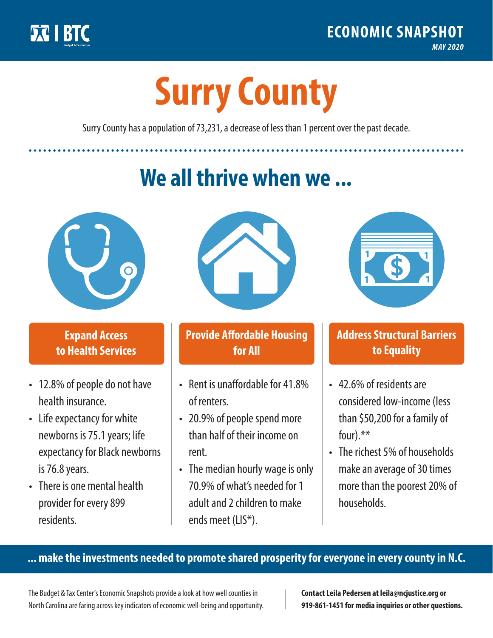

**1**

# **Surry County**

Surry County has a population of 73,231, a decrease of less than 1 percent over the past decade.

# **We all thrive when we ...**



**\$ <sup>1</sup>**

**\$ <sup>1</sup>**

### **Expand Access to Health Services**

- 12.8% of people do not have health insurance.
- Life expectancy for white newborns is 75.1years; life expectancy for Black newborns is 76.8years.
- There is one mental health provider for every 899 residents.



### **Provide Affordable Housing for All**

- Rent is unaffordable for 41 8% of renters.
- 20.9% of people spend more than half of their income on rent.
- The median hourly wage is only 70.9% of what's needed for 1 adult and 2 children to make ends meet (LIS\*).



## **Address Structural Barriers to Equality**

- 42.6% of residents are considered low-income (less than \$50,200 for a family of four) $.**$
- The richest 5% of households make an average of 30 times more than the poorest 20% of households.

#### **... make the investments needed to promote shared prosperity for everyone in every county in N.C.**

The Budget & Tax Center's Economic Snapshots provide a look at how well counties in North Carolina are faring across key indicators of economic well-being and opportunity.